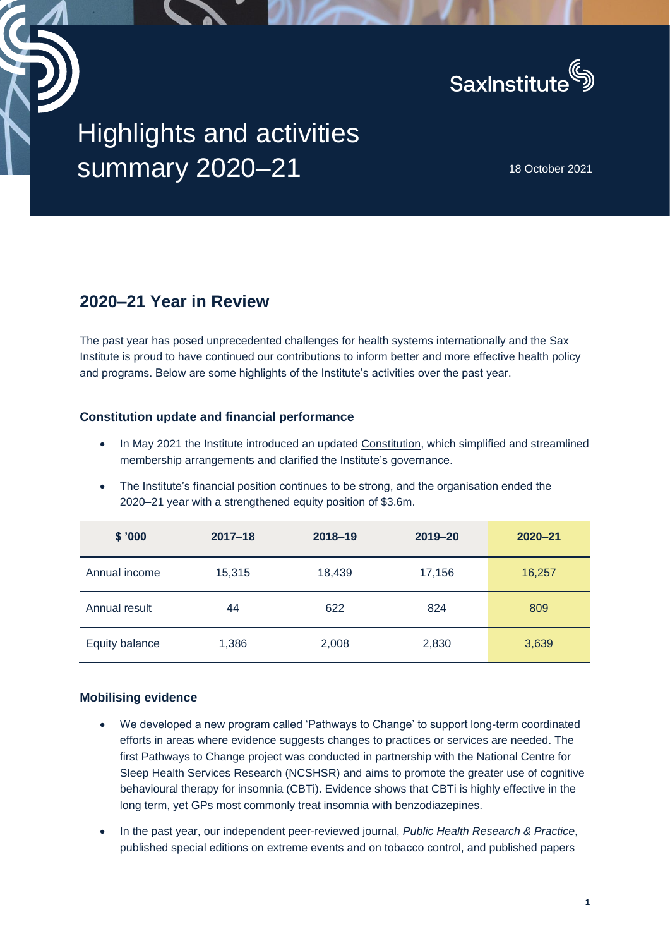

# Highlights and activities **SUMMAry 2020–21** 18 October 2021

## **2020–21 Year in Review**

The past year has posed unprecedented challenges for health systems internationally and the Sax Institute is proud to have continued our contributions to inform better and more effective health policy and programs. Below are some highlights of the Institute's activities over the past year.

### **Constitution update and financial performance**

- In May 2021 the Institute introduced an updated [Constitution,](https://www.saxinstitute.org.au/wp-content/uploads/2021_Sax-Institute-Constitution.pdf) which simplified and streamlined membership arrangements and clarified the Institute's governance.
- The Institute's financial position continues to be strong, and the organisation ended the 2020–21 year with a strengthened equity position of \$3.6m.

| \$'000         | $2017 - 18$ | $2018 - 19$ | $2019 - 20$ | $2020 - 21$ |
|----------------|-------------|-------------|-------------|-------------|
| Annual income  | 15,315      | 18,439      | 17,156      | 16,257      |
| Annual result  | 44          | 622         | 824         | 809         |
| Equity balance | 1,386       | 2,008       | 2,830       | 3,639       |

#### **Mobilising evidence**

- We developed a new program called 'Pathways to Change' to support long-term coordinated efforts in areas where evidence suggests changes to practices or services are needed. The first Pathways to Change project was conducted in partnership with the National Centre for Sleep Health Services Research (NCSHSR) and aims to promote the greater use of cognitive behavioural therapy for insomnia (CBTi). Evidence shows that CBTi is highly effective in the long term, yet GPs most commonly treat insomnia with benzodiazepines.
- In the past year, our independent peer-reviewed journal, *Public Health Research & Practice*, published special editions on extreme events and on tobacco control, and published papers